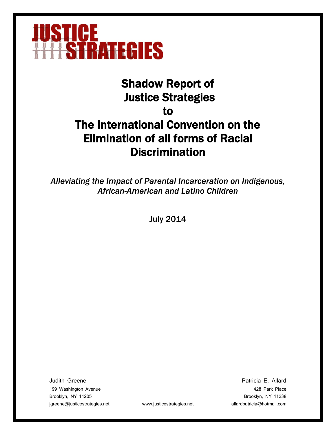

# Shadow Report of Justice Strategies to The International Convention on the Elimination of all forms of Racial **Discrimination**

*Alleviating the Impact of Parental Incarceration on Indigenous, African-American and Latino Children*

July 2014

Judith Greene Patricia E. Allard 199 Washington Avenue 428 Park Place Brooklyn, NY 11205 Brooklyn, NY 11238 jgreene@justicestrategies.net www.justicestrategies.net allardpatricia@hotmail.com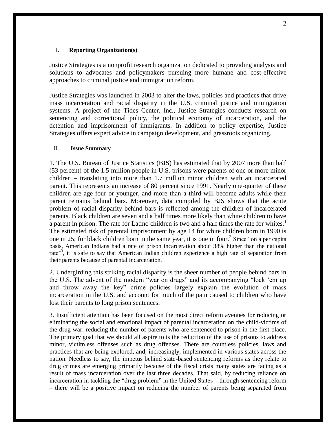#### I. **Reporting Organization(s)**

Justice Strategies is a nonprofit research organization dedicated to providing analysis and solutions to advocates and policymakers pursuing more humane and cost-effective approaches to criminal justice and immigration reform.

Justice Strategies was launched in 2003 to alter the laws, policies and practices that drive mass incarceration and racial disparity in the U.S. criminal justice and immigration systems. A project of the Tides Center, Inc., Justice Strategies conducts research on sentencing and correctional policy, the political economy of incarceration, and the detention and imprisonment of immigrants. In addition to policy expertise, Justice Strategies offers expert advice in campaign development, and grassroots organizing.

### II. **Issue Summary**

1. The U.S. Bureau of Justice Statistics (BJS) has estimated that by 2007 more than half (53 percent) of the 1.5 million people in U.S. prisons were parents of one or more minor children – translating into more than 1.7 million minor children with an incarcerated parent. This represents an increase of 80 percent since 1991. Nearly one-quarter of these children are age four or younger, and more than a third will become adults while their parent remains behind bars. Moreover, data compiled by BJS shows that the acute problem of racial disparity behind bars is reflected among the children of incarcerated parents. Black children are seven and a half times more likely than white children to have a parent in prison. The rate for Latino children is two and a half times the rate for whites.<sup>1</sup> The estimated risk of parental imprisonment by age 14 for white children born in 1990 is one in 25; for black children born in the same year, it is one in four.<sup>2</sup> Since "on a per capita" basis, American Indians had a rate of prison incarceration about 38% higher than the national rate"<sup>3</sup>, it is safe to say that American Indian children experience a high rate of separation from their parents because of parental incarceration.

2. Undergirding this striking racial disparity is the sheer number of people behind bars in the U.S. The advent of the modern "war on drugs" and its accompanying "lock 'em up and throw away the key" crime policies largely explain the evolution of mass incarceration in the U.S. and account for much of the pain caused to children who have lost their parents to long prison sentences.

3. Insufficient attention has been focused on the most direct reform avenues for reducing or eliminating the social and emotional impact of parental incarceration on the child-victims of the drug war: reducing the number of parents who are sentenced to prison in the first place. The primary goal that we should all aspire to is the reduction of the use of prisons to address minor, victimless offenses such as drug offenses. There are countless policies, laws and practices that are being explored, and, increasingly, implemented in various states across the nation. Needless to say, the impetus behind state-based sentencing reforms as they relate to drug crimes are emerging primarily because of the fiscal crisis many states are facing as a result of mass incarceration over the last three decades. That said, by reducing reliance on incarceration in tackling the "drug problem" in the United States – through sentencing reform – there will be a positive impact on reducing the number of parents being separated from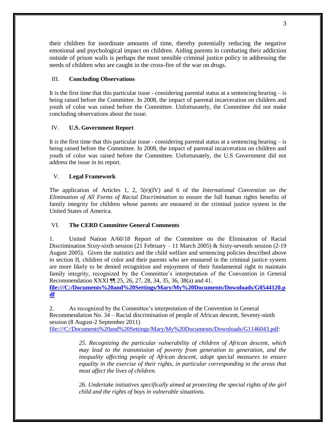their children for inordinate amounts of time, thereby potentially reducing the negative emotional and psychological impact on children. Aiding parents in combating their addiction outside of prison walls is perhaps the most sensible criminal justice policy in addressing the needs of children who are caught in the cross-fire of the war on drugs.

# III. **Concluding Observations**

It is the first time that this particular issue - considering parental status at a sentencing hearing  $-\text{is}$ being raised before the Committee. In 2008, the impact of parental incarceration on children and youth of color was raised before the Committee. Unfortunately, the Committee did not make concluding observations about the issue.

# IV. **U.S. Government Report**

It is the first time that this particular issue - considering parental status at a sentencing hearing – is being raised before the Committee. In 2008, the impact of parental incarceration on children and youth of color was raised before the Committee. Unfortunately, the U.S Government did not address the issue in its report.

# V. **Legal Framework**

The application of Articles 1, 2, 5(e)(IV) and 6 of the *International Convention on the Elimination of All Forms of Racial Discrimination* to ensure the full human rights benefits of family integrity for children whose parents are ensnared in the criminal justice system in the United States of America.

### VI. **The CERD Committee General Comments**

1. United Nation A/60/18 Report of the Committee on the Elimination of Racial Discrimination Sixty-sixth session (21 February – 11 March 2005) & Sixty-seventh session (2-19 August 2005). Given the statistics and the child welfare and sentencing policies described above in section II, children of color and their parents who are ensnared in the criminal justice system are more likely to be denied recognition and enjoyment of their fundamental right to maintain family integrity, recognized by the Committee's interpretation of the Convention in General Recommendation XXXI ¶¶ 25, 26, 27, 28, 34, 35, 36, 38(a) and 41.

**[file:///C:/Documents%20and%20Settings/Mary/My%20Documents/Downloads/G0544120.p](file:///C:/Downloads/G0544120.pdf) [df](file:///C:/Downloads/G0544120.pdf)**

2. As recognized by the Committee's interpretation of the Convention in General Recommendation No. 34 – Racial discrimination of people of African descent, Seventy-ninth session (8 August-2 September 2011) [file:///C:/Documents%20and%20Settings/Mary/My%20Documents/Downloads/G1146043.pdf:](file:///C:/Downloads/G1146043.pdf)

> *25. Recognizing the particular vulnerability of children of African descent, which may lead to the transmission of poverty from generation to generation, and the inequality affecting people of African descent, adopt special measures to ensure equality in the exercise of their rights, in particular corresponding to the areas that most affect the lives of children.*

> *26. Undertake initiatives specifically aimed at protecting the special rights of the girl child and the rights of boys in vulnerable situations.*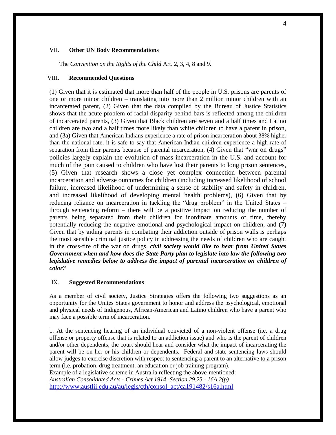#### VII. **Other UN Body Recommendations**

The *Convention on the Rights of the Child* Art. 2, 3, 4, 8 and 9.

#### VIII. **Recommended Questions**

(1) Given that it is estimated that more than half of the people in U.S. prisons are parents of one or more minor children – translating into more than 2 million minor children with an incarcerated parent, (2) Given that the data compiled by the Bureau of Justice Statistics shows that the acute problem of racial disparity behind bars is reflected among the children of incarcerated parents, (3) Given that Black children are seven and a half times and Latino children are two and a half times more likely than white children to have a parent in prison, and (3a) Given that American Indians experience a rate of prison incarceration about 38% higher than the national rate, it is safe to say that American Indian children experience a high rate of separation from their parents because of parental incarceration, (4) Given that "war on drugs" policies largely explain the evolution of mass incarceration in the U.S. and account for much of the pain caused to children who have lost their parents to long prison sentences, (5) Given that research shows a close yet complex connection between parental incarceration and adverse outcomes for children (including increased likelihood of school failure, increased likelihood of undermining a sense of stability and safety in children, and increased likelihood of developing mental health problems), (6) Given that by reducing reliance on incarceration in tackling the "drug problem" in the United States – through sentencing reform – there will be a positive impact on reducing the number of parents being separated from their children for inordinate amounts of time, thereby potentially reducing the negative emotional and psychological impact on children, and (7) Given that by aiding parents in combating their addiction outside of prison walls is perhaps the most sensible criminal justice policy in addressing the needs of children who are caught in the cross-fire of the war on drugs, *civil society would like to hear from United States Government when and how does the State Party plan to legislate into law the following two legislative remedies below to address the impact of parental incarceration on children of color?*

#### IX. **Suggested Recommendations**

As a member of civil society, Justice Strategies offers the following two suggestions as an opportunity for the Unites States government to honor and address the psychological, emotional and physical needs of Indigenous, African-American and Latino children who have a parent who may face a possible term of incarceration.

1. At the sentencing hearing of an individual convicted of a non-violent offense (i.e. a drug offense or property offense that is related to an addiction issue) and who is the parent of children and/or other dependents, the court should hear and consider what the impact of incarcerating the parent will be on her or his children or dependents. Federal and state sentencing laws should allow judges to exercise discretion with respect to sentencing a parent to an alternative to a prison term (i.e. probation, drug treatment, an education or job training program). Example of a legislative scheme in Australia reflecting the above-mentioned: *Australian Consolidated Acts - Crimes Act 1914 -Section 29.25 - 16A 2(p)*

[http://www.austlii.edu.au/au/legis/cth/consol\\_act/ca191482/s16a.html](http://www.austlii.edu.au/au/legis/cth/consol_act/ca191482/s16a.html)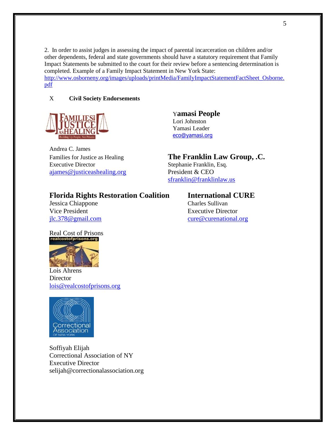2. In order to assist judges in assessing the impact of parental incarceration on children and/or other dependents, federal and state governments should have a statutory requirement that Family Impact Statements be submitted to the court for their review before a sentencing determination is completed. Example of a Family Impact Statement in New York State: [http://www.osborneny.org/images/uploads/printMedia/FamilyImpactStatementFactSheet\\_Osborne.](http://www.osborneny.org/images/uploads/printMedia/FamilyImpactStatementFactSheet_Osborne.pdf)

[pdf](http://www.osborneny.org/images/uploads/printMedia/FamilyImpactStatementFactSheet_Osborne.pdf)

# X **Civil Society Endorsements**



Andrea C. James Executive Director Stephanie Franklin, Esq. [ajames@justiceashealing.org](mailto:ajames@justiceashealing.org) President & CEO

# Y**amasi People** Lori Johnston Yamasi Leader [eco@yamasi.org](mailto:eco@yamasi.org)

Families for Justice as Healing **The Franklin Law Group, .C.** 

[sfranklin@franklinlaw.us](mailto:sfranklin@franklinlaw.us)

# **Florida Rights Restoration Coalition International CURE**

Jessica Chiappone Charles Sullivan Vice President Executive Director

[jlc.378@gmail.com](mailto:jlc.378@gmail.com) [cure@curenational.org](mailto:cure@curenational.org)





Lois Ahrens **Director** [lois@realcostofprisons.org](mailto:lois@realcostofprisons.org)



Soffiyah Elijah Correctional Association of NY Executive Director selijah@correctionalassociation.org